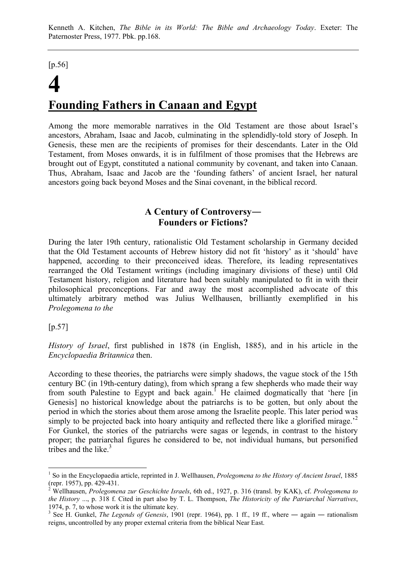## [p.56]

# **4 Founding Fathers in Canaan and Egypt**

Among the more memorable narratives in the Old Testament are those about Israel's ancestors, Abraham, Isaac and Jacob, culminating in the splendidly-told story of Joseph. In Genesis, these men are the recipients of promises for their descendants. Later in the Old Testament, from Moses onwards, it is in fulfilment of those promises that the Hebrews are brought out of Egypt, constituted a national community by covenant, and taken into Canaan. Thus, Abraham, Isaac and Jacob are the 'founding fathers' of ancient Israel, her natural ancestors going back beyond Moses and the Sinai covenant, in the biblical record.

# **A Century of Controversy― Founders or Fictions?**

During the later 19th century, rationalistic Old Testament scholarship in Germany decided that the Old Testament accounts of Hebrew history did not fit 'history' as it 'should' have happened, according to their preconceived ideas. Therefore, its leading representatives rearranged the Old Testament writings (including imaginary divisions of these) until Old Testament history, religion and literature had been suitably manipulated to fit in with their philosophical preconceptions. Far and away the most accomplished advocate of this ultimately arbitrary method was Julius Wellhausen, brilliantly exemplified in his *Prolegomena to the*

[p.57]

 $\overline{a}$ 

*History of Israel*, first published in 1878 (in English, 1885), and in his article in the *Encyclopaedia Britannica* then.

According to these theories, the patriarchs were simply shadows, the vague stock of the 15th century BC (in 19th-century dating), from which sprang a few shepherds who made their way from south Palestine to Egypt and back again.<sup>I</sup> He claimed dogmatically that 'here [in Genesis] no historical knowledge about the patriarchs is to be gotten, but only about the period in which the stories about them arose among the Israelite people. This later period was simply to be projected back into hoary antiquity and reflected there like a glorified mirage.<sup>2</sup> For Gunkel, the stories of the patriarchs were sagas or legends, in contrast to the history proper; the patriarchal figures he considered to be, not individual humans, but personified tribes and the like. $3$ 

<sup>&</sup>lt;sup>1</sup> So in the Encyclopaedia article, reprinted in J. Wellhausen, *Prolegomena to the History of Ancient Israel*, 1885 (repr. 1957), pp. 429-431.

<sup>2</sup> Wellhausen, *Prolegomena zur Geschichte Israels*, 6th ed., 1927, p. 316 (transl. by KAK), cf. *Prolegomena to the History* ..., p. 318 f. Cited in part also by T. L. Thompson, *The Historicity of the Patriarchal Narratives*, 1974, p. 7, to whose work it is the ultimate key.

<sup>&</sup>lt;sup>3</sup> See H. Gunkel, *The Legends of Genesis*, 1901 (repr. 1964), pp. 1 ff., 19 ff., where — again — rationalism reigns, uncontrolled by any proper external criteria from the biblical Near East.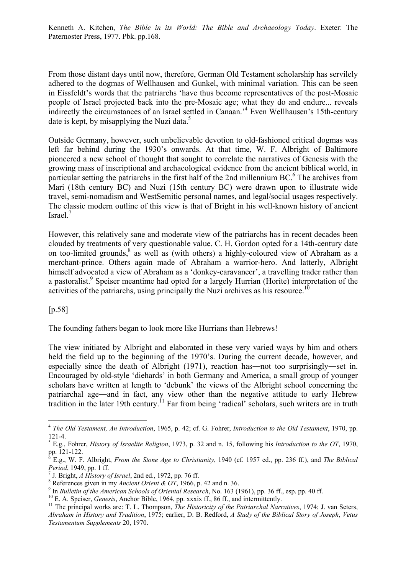From those distant days until now, therefore, German Old Testament scholarship has servilely adhered to the dogmas of Wellhausen and Gunkel, with minimal variation. This can be seen in Eissfeldt's words that the patriarchs 'have thus become representatives of the post-Mosaic people of Israel projected back into the pre-Mosaic age; what they do and endure... reveals indirectly the circumstances of an Israel settled in Canaan.'4 Even Wellhausen's 15th-century date is kept, by misapplying the Nuzi data. $5$ 

Outside Germany, however, such unbelievable devotion to old-fashioned critical dogmas was left far behind during the 1930's onwards. At that time, W. F. Albright of Baltimore pioneered a new school of thought that sought to correlate the narratives of Genesis with the growing mass of inscriptional and archaeological evidence from the ancient biblical world, in particular setting the patriarchs in the first half of the 2nd millennium BC.<sup>6</sup> The archives from Mari (18th century BC) and Nuzi (15th century BC) were drawn upon to illustrate wide travel, semi-nomadism and WestSemitic personal names, and legal/social usages respectively. The classic modern outline of this view is that of Bright in his well-known history of ancient Israel.7

However, this relatively sane and moderate view of the patriarchs has in recent decades been clouded by treatments of very questionable value. C. H. Gordon opted for a 14th-century date on too-limited grounds,<sup>8</sup> as well as (with others) a highly-coloured view of Abraham as a merchant-prince. Others again made of Abraham a warrior-hero. And latterly, Albright himself advocated a view of Abraham as a 'donkey-caravaneer', a travelling trader rather than a pastoralist.<sup>9</sup> Speiser meantime had opted for a largely Hurrian (Horite) interpretation of the activities of the patriarchs, using principally the Nuzi archives as his resource.<sup>10</sup>

[p.58]

 $\overline{a}$ 

The founding fathers began to look more like Hurrians than Hebrews!

The view initiated by Albright and elaborated in these very varied ways by him and others held the field up to the beginning of the 1970's. During the current decade, however, and especially since the death of Albright (1971), reaction has―not too surprisingly―set in. Encouraged by old-style 'diehards' in both Germany and America, a small group of younger scholars have written at length to 'debunk' the views of the Albright school concerning the patriarchal age―and in fact, any view other than the negative attitude to early Hebrew tradition in the later 19th century.<sup>11</sup> Far from being 'radical' scholars, such writers are in truth

<sup>4</sup> *The Old Testament, An Introduction*, 1965, p. 42; cf. G. Fohrer, *Introduction to the Old Testament*, 1970, pp. 121-4.

<sup>5</sup> E.g., Fohrer, *History of Israelite Religion*, 1973, p. 32 and n. 15, following his *Introduction to the OT*, 1970, pp. 121-122.

<sup>6</sup> E.g., W. F. Albright, *From the Stone Age to Christianity*, 1940 (cf. 1957 ed., pp. 236 ff.), and *The Biblical Period*, 1949, pp. 1 ff.

 $<sup>7</sup>$  J. Bright, *A History of Israel*, 2nd ed., 1972, pp. 76 ff.</sup>

<sup>&</sup>lt;sup>8</sup> References given in my *Ancient Orient & OT*, 1966, p. 42 and n. 36.<br><sup>9</sup> In *Bulletin of the American Schools of Oriental Research*, No. 163 (1961), pp. 36 ff., esp. pp. 40 ff.

<sup>&</sup>lt;sup>10</sup> E. A. Speiser, *Genesis*, Anchor Bible, 1964, pp. xxxix ff., 86 ff., and intermittently.<br><sup>11</sup> The principal works are: T. L. Thompson, *The Historicity of the Patriarchal Narratives*, 1974; J. van Seters, *Abraham in History and Tradition*, 1975; earlier, D. B. Redford, *A Study of the Biblical Story of Joseph*, *Vetus Testamentum Supplements* 20, 1970.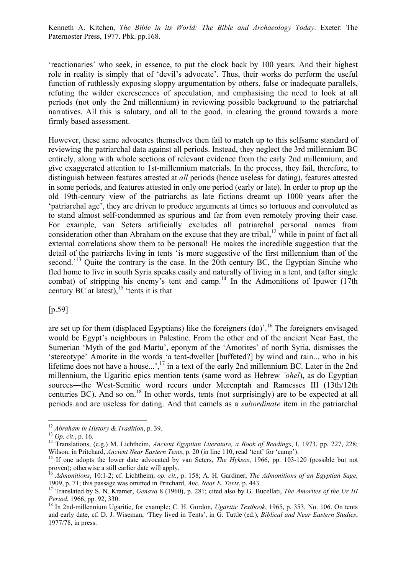'reactionaries' who seek, in essence, to put the clock back by 100 years. And their highest role in reality is simply that of 'devil's advocate'. Thus, their works do perform the useful function of ruthlessly exposing sloppy argumentation by others, false or inadequate parallels, refuting the wilder excrescences of speculation, and emphasising the need to look at all periods (not only the 2nd millennium) in reviewing possible background to the patriarchal narratives. All this is salutary, and all to the good, in clearing the ground towards a more firmly based assessment.

However, these same advocates themselves then fail to match up to this selfsame standard of reviewing the patriarchal data against all periods. Instead, they neglect the 3rd millennium BC entirely, along with whole sections of relevant evidence from the early 2nd millennium, and give exaggerated attention to 1st-millennium materials. In the process, they fail, therefore, to distinguish between features attested at *all* periods (hence useless for dating), features attested in some periods, and features attested in only one period (early or late). In order to prop up the old 19th-century view of the patriarchs as late fictions dreamt up 1000 years after the 'patriarchal age', they are driven to produce arguments at times so tortuous and convoluted as to stand almost self-condemned as spurious and far from even remotely proving their case. For example, van Seters artificially excludes all patriarchal personal names from consideration other than Abraham on the excuse that they are tribal,<sup>12</sup> while in point of fact all external correlations show them to be personal! He makes the incredible suggestion that the detail of the patriarchs living in tents 'is more suggestive of the first millennium than of the second.<sup> $13$ </sup> Quite the contrary is the case. In the 20th century BC, the Egyptian Sinuhe who fled home to live in south Syria speaks easily and naturally of living in a tent, and (after single combat) of stripping his enemy's tent and camp.<sup>14</sup> In the Admonitions of Ipuwer (17th century BC at latest),<sup>15</sup> 'tents it is that

[p.59]

are set up for them (displaced Egyptians) like the foreigners (do)'.<sup>16</sup> The foreigners envisaged would be Egypt's neighbours in Palestine. From the other end of the ancient Near East, the Sumerian 'Myth of the god Martu', eponym of the 'Amorites' of north Syria, dismisses the 'stereotype' Amorite in the words 'a tent-dweller [buffeted?] by wind and rain... who in his lifetime does not have a house...',<sup>17</sup> in a text of the early 2nd millennium BC. Later in the 2nd millennium, the Ugaritic epics mention tents (same word as Hebrew *'ohel*), as do Egyptian sources—the West-Semitic word recurs under Merenptah and Ramesses III (13th/12th centuries BC). And so on.<sup>18</sup> In other words, tents (not surprisingly) are to be expected at all periods and are useless for dating. And that camels as a *subordinate* item in the patriarchal

<sup>&</sup>lt;sup>12</sup> *Abraham in History & Tradition*, p. 39.<br><sup>13</sup> *Op. cit.*, p. 16.<br><sup>14</sup> Translations, (e.g.) M. Lichtheim, *Ancient Egyptian Literature, a Book of Readings*, I, 1973, pp. 227, 228;<br>Wilson, in Pritchard, *Ancient Near Ea* 

<sup>&</sup>lt;sup>15</sup> If one adopts the lower date advocated by van Seters, *The Hyksos*, 1966, pp. 103-120 (possible but not proven); otherwise a still earlier date will apply.

<sup>16</sup> *Admonitions*, 10:1-2; cf. Lichtheim, *op. cit.*, p. 158; A. H. Gardiner, *The Admonitions of an Egyptian Sage*, 1909, p. 71; this passage was omitted in Pritchard, *Anc. Near E. Texts*, p. 443. 17 Translated by S. N. Kramer, *Genava* 8 (1960), p. 281; cited also by G. Bucellati, *The Amorites of the Ur III* 

*Period*, 1966, pp. 92, 330.<br><sup>18</sup> In 2nd-millennium Ugaritic, for example; C. H. Gordon, *Ugaritic Textbook*, 1965, p. 353, No. 106. On tents

and early date, cf. D. J. Wiseman, 'They lived in Tents', in G. Tuttle (ed.), *Biblical and Near Eastern Studies*, 1977/78, in press.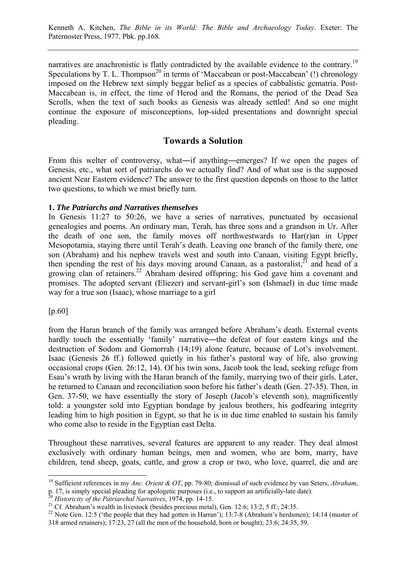narratives are anachronistic is flatly contradicted by the available evidence to the contrary.<sup>19</sup> Speculations by T. L. Thompson<sup>20</sup> in terms of 'Maccabean or post-Maccabean' (!) chronology imposed on the Hebrew text simply beggar belief as a species of cabbalistic gematria. Post-Maccabean is, in effect, the time of Herod and the Romans, the period of the Dead Sea Scrolls, when the text of such books as Genesis was already settled! And so one might continue the exposure of misconceptions, lop-sided presentations and downright special pleading.

## **Towards a Solution**

From this welter of controversy, what—if anything—emerges? If we open the pages of Genesis, etc., what sort of patriarchs do we actually find? And of what use is the supposed ancient Near Eastern evidence? The answer to the first question depends on those to the latter two questions, to which we must briefly turn.

#### **1.** *The Patriarchs and Narratives themselves*

In Genesis 11:27 to 50:26, we have a series of narratives, punctuated by occasional genealogies and poems. An ordinary man, Terah, has three sons and a grandson in Ur. After the death of one son, the family moves off northwestwards to  $Har(r)$ an in Upper Mesopotamia, staying there until Terah's death. Leaving one branch of the family there, one son (Abraham) and his nephew travels west and south into Canaan, visiting Egypt briefly, then spending the rest of his days moving around Canaan, as a pastoralist,  $^{21}$  and head of a growing clan of retainers.22 Abraham desired offspring; his God gave him a covenant and promises. The adopted servant (Eliezer) and servant-girl's son (Ishmael) in due time made way for a true son (Isaac), whose marriage to a girl

[p.60]

 $\overline{a}$ 

from the Haran branch of the family was arranged before Abraham's death. External events hardly touch the essentially 'family' narrative—the defeat of four eastern kings and the destruction of Sodom and Gomorrah (14;19) alone feature, because of Lot's involvement. Isaac (Genesis 26 ff.) followed quietly in his father's pastoral way of life, also growing occasional crops (Gen. 26:12, 14). Of his twin sons, Jacob took the lead, seeking refuge from Esau's wrath by living with the Haran branch of the family, marrying two of their girls. Later, he returned to Canaan and reconciliation soon before his father's death (Gen. 27-35). Then, in Gen. 37-50, we have essentially the story of Joseph (Jacob's eleventh son), magnificently told: a youngster sold into Egyptian bondage by jealous brothers, his godfearing integrity leading him to high position in Egypt, so that he is in due time enabled to sustain his family who come also to reside in the Egyptian east Delta.

Throughout these narratives, several features are apparent to any reader. They deal almost exclusively with ordinary human beings, men and women, who are born, marry, have children, tend sheep, goats, cattle, and grow a crop or two, who love, quarrel, die and are

<sup>19</sup> Sufficient references in my *Anc. Orient & OT*, pp. 79-80; dismissal of such evidence by van Seters, *Abraham*, p. 17, is simply special pleading for apologetic purposes (i.e., to support an artificially-late date).<br><sup>20</sup> Historicity of the Patriarchal Narratives, 1974, pp. 14-15.<br><sup>21</sup> Cf. Abraham's wealth in livestock (besides preci

<sup>&</sup>lt;sup>22</sup> Note Gen. 12:5 ('the people that they had gotten in Harran'); 13:7-8 (Abraham's herdsmen); 14:14 (muster of 318 armed retainers); 17:23, 27 (all the men of the household, born or bought); 23:6; 24:35, 59.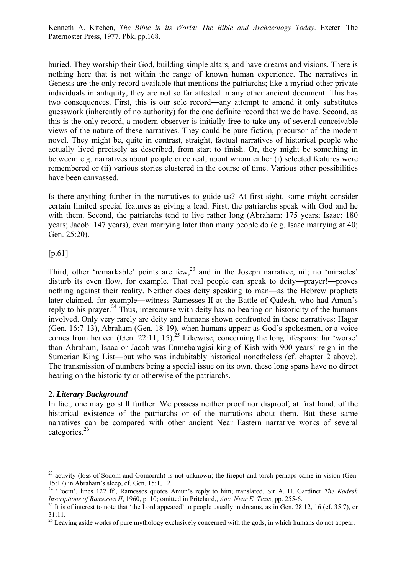buried. They worship their God, building simple altars, and have dreams and visions. There is nothing here that is not within the range of known human experience. The narratives in Genesis are the only record available that mentions the patriarchs; like a myriad other private individuals in antiquity, they are not so far attested in any other ancient document. This has two consequences. First, this is our sole record―any attempt to amend it only substitutes guesswork (inherently of no authority) for the one definite record that we do have. Second, as this is the only record, a modern observer is initially free to take any of several conceivable views of the nature of these narratives. They could be pure fiction, precursor of the modern novel. They might be, quite in contrast, straight, factual narratives of historical people who actually lived precisely as described, from start to finish. Or, they might be something in between: e.g. narratives about people once real, about whom either (i) selected features were remembered or (ii) various stories clustered in the course of time. Various other possibilities have been canvassed.

Is there anything further in the narratives to guide us? At first sight, some might consider certain limited special features as giving a lead. First, the patriarchs speak with God and he with them. Second, the patriarchs tend to live rather long (Abraham: 175 years; Isaac: 180 years; Jacob: 147 years), even marrying later than many people do (e.g. Isaac marrying at 40; Gen. 25:20).

[p.61]

 $\overline{a}$ 

Third, other 'remarkable' points are  $few<sub>1</sub><sup>23</sup>$  and in the Joseph narrative, nil; no 'miracles' disturb its even flow, for example. That real people can speak to deity―prayer!―proves nothing against their reality. Neither does deity speaking to man―as the Hebrew prophets later claimed, for example―witness Ramesses II at the Battle of Qadesh, who had Amun's reply to his prayer.<sup>24</sup> Thus, intercourse with deity has no bearing on historicity of the humans involved. Only very rarely are deity and humans shown confronted in these narratives: Hagar (Gen. 16:7-13), Abraham (Gen. 18-19), when humans appear as God's spokesmen, or a voice comes from heaven (Gen. 22:11, 15).<sup>25</sup> Likewise, concerning the long lifespans: far 'worse' than Abraham, Isaac or Jacob was Enmebaragisi king of Kish with 900 years' reign in the Sumerian King List―but who was indubitably historical nonetheless (cf. chapter 2 above). The transmission of numbers being a special issue on its own, these long spans have no direct bearing on the historicity or otherwise of the patriarchs.

#### 2**.** *Literary Background*

In fact, one may go still further. We possess neither proof nor disproof, at first hand, of the historical existence of the patriarchs or of the narrations about them. But these same narratives can be compared with other ancient Near Eastern narrative works of several categories.26

<sup>&</sup>lt;sup>23</sup> activity (loss of Sodom and Gomorrah) is not unknown; the firepot and torch perhaps came in vision (Gen. 15:17) in Abraham's sleep, cf. Gen. 15:1, 12.

<sup>24 &#</sup>x27;Poem', lines 122 ff., Ramesses quotes Amun's reply to him; translated, Sir A. H. Gardiner *The Kadesh Inscriptions of Ramesses II*, 1960, p. 10; omitted in Pritchard,, *Anc. Near E. Texts*, pp. 255-6.<br><sup>25</sup> It is of interest to note that 'the Lord appeared' to people usually in dreams, as in Gen. 28:12, 16 (cf. 35:7), or

<sup>31:11.</sup> 

<sup>&</sup>lt;sup>26</sup> Leaving aside works of pure mythology exclusively concerned with the gods, in which humans do not appear.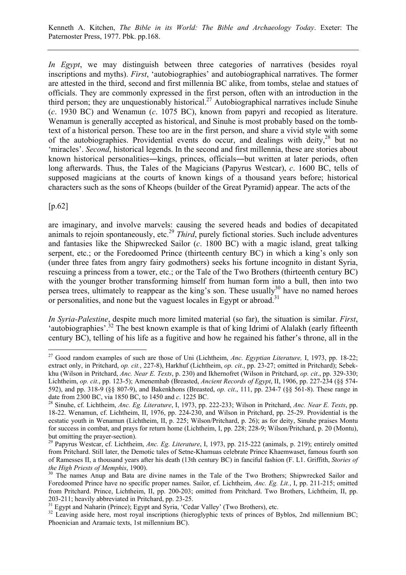*In Egypt*, we may distinguish between three categories of narratives (besides royal inscriptions and myths). *First*, 'autobiographies' and autobiographical narratives. The former are attested in the third, second and first millennia BC alike, from tombs, stelae and statues of officials. They are commonly expressed in the first person, often with an introduction in the third person; they are unquestionably historical.<sup>27</sup> Autobiographical narratives include Sinuhe (*c*. 1930 BC) and Wenamun (*c*. 1075 BC), known from papyri and recopied as literature. Wenamun is generally accepted as historical, and Sinuhe is most probably based on the tombtext of a historical person. These too are in the first person, and share a vivid style with some of the autobiographies. Providential events do occur, and dealings with deity,  $28$  but no 'miracles'. *Second*, historical legends. In the second and first millennia, these are stories about known historical personalities―kings, princes, officials―but written at later periods, often long afterwards. Thus, the Tales of the Magicians (Papyrus Westcar), *c*. 1600 BC, tells of supposed magicians at the courts of known kings of a thousand years before; historical characters such as the sons of Kheops (builder of the Great Pyramid) appear. The acts of the

[p.62]

 $\overline{a}$ 

are imaginary, and involve marvels: causing the severed heads and bodies of decapitated animals to rejoin spontaneously, etc.<sup>29</sup> *Third*, purely fictional stories. Such include adventures and fantasies like the Shipwrecked Sailor (*c*. 1800 BC) with a magic island, great talking serpent, etc.; or the Foredoomed Prince (thirteenth century BC) in which a king's only son (under three fates from angry fairy godmothers) seeks his fortune incognito in distant Syria, rescuing a princess from a tower, etc.; or the Tale of the Two Brothers (thirteenth century BC) with the younger brother transforming himself from human form into a bull, then into two persea trees, ultimately to reappear as the king's son. These usually $30$  have no named heroes or personalities, and none but the vaguest locales in Egypt or abroad.<sup>31</sup>

*In Syria-Palestine*, despite much more limited material (so far), the situation is similar. *First*, 'autobiographies'.32 The best known example is that of king Idrimi of Alalakh (early fifteenth century BC), telling of his life as a fugitive and how he regained his father's throne, all in the

<sup>27</sup> Good random examples of such are those of Uni (Lichtheim, *Anc. Egyptian Literature,* I, 1973, pp. 18-22; extract only, in Pritchard, *op. cit.*, 227-8), Harkhuf (Lichtheim, *op. cit*., pp. 23-27; omitted in Pritchard); Sebekkhu (Wilson in Pritchard, *Anc. Near E. Texts*, p. 230) and Ikhernofret (Wilson in Pritchard, *op. cit*., pp. 329-330; Lichtheim, *op. cit.*, pp. 123-5); Amenemhab (Breasted, *Ancient Records of Egypt*, II, 1906, pp. 227-234 (§§ 574- 592), and pp. 318-9 (§§ 807-9), and Bakenkhons (Breasted, *op. cit*., 111, pp. 234-7 (§§ 561-8). These range in

<sup>&</sup>lt;sup>28</sup> Sinuhe, cf. Lichtheim, *Anc. Eg. Literature*, I, 1973, pp. 222-233; Wilson in Pritchard, *Anc. Near E. Texts*, pp. 18-22. Wenamun, cf. Lichtheim, II, 1976, pp. 224-230, and Wilson in Pritchard, pp. 25-29. Providential is the ecstatic youth in Wenamun (Lichtheim, II, p. 225; Wilson/Pritchard, p. 26); as for deity, Sinuhe praises Montu for success in combat, and prays for return home (Lichtheim, I, pp. 228; 228-9; Wilson/Pritchard, p. 20 (Montu), but omitting the prayer-section).

<sup>29</sup> Papyrus Westcar, cf. Lichtheim, *Anc. Eg. Literature*, I, 1973, pp. 215-222 (animals, p. 219); entirely omitted from Pritchard. Still later, the Demotic tales of Setne-Khamuas celebrate Prince Khaemwaset, famous fourth son of Ramesses II, a thousand years after his death (13th century BC) in fanciful fashion (F. L1. Griffith, *Stories of* 

*the High Priests of Memphis*, 1900).<br><sup>30</sup> The names Anup and Bata are divine names in the Tale of the Two Brothers; Shipwrecked Sailor and Foredoomed Prince have no specific proper names. Sailor, cf. Lichtheim, *Anc. Eg. Lit.*, I, pp. 211-215; omitted from Pritchard. Prince, Lichtheim, II, pp. 200-203; omitted from Pritchard. Two Brothers, Lichtheim, II, pp. 203-211; heavily abbreviated in Pritchard, pp. 23-25.<br><sup>31</sup> Egypt and Naharin (Prince); Egypt and Syria, 'Cedar Valley' (Two Brothers), etc.

<sup>&</sup>lt;sup>32</sup> Leaving aside here, most royal inscriptions (hieroglyphic texts of princes of Byblos, 2nd millennium BC; Phoenician and Aramaic texts, 1st millennium BC).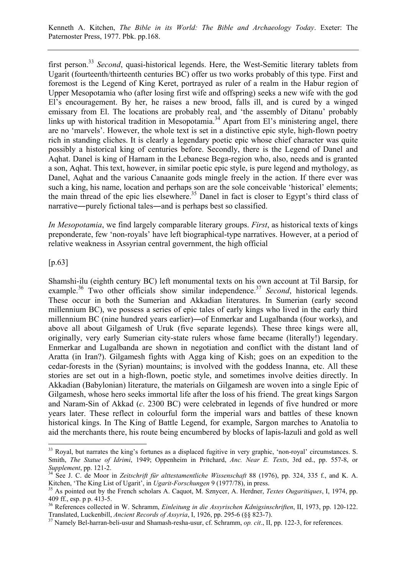first person.33 *Second*, quasi-historical legends. Here, the West-Semitic literary tablets from Ugarit (fourteenth/thirteenth centuries BC) offer us two works probably of this type. First and foremost is the Legend of King Keret, portrayed as ruler of a realm in the Habur region of Upper Mesopotamia who (after losing first wife and offspring) seeks a new wife with the god El's encouragement. By her, he raises a new brood, falls ill, and is cured by a winged emissary from El. The locations are probably real, and 'the assembly of Ditanu' probably links up with historical tradition in Mesopotamia.<sup>34</sup> Apart from El's ministering angel, there are no 'marvels'. However, the whole text is set in a distinctive epic style, high-flown poetry rich in standing cliches. It is clearly a legendary poetic epic whose chief character was quite possibly a historical king of centuries before. Secondly, there is the Legend of Danel and Aqhat. Danel is king of Harnam in the Lebanese Bega-region who, also, needs and is granted a son, Aqhat. This text, however, in similar poetic epic style, is pure legend and mythology, as Danel, Aqhat and the various Canaanite gods mingle freely in the action. If there ever was such a king, his name, location and perhaps son are the sole conceivable 'historical' elements; the main thread of the epic lies elsewhere.<sup>35</sup> Danel in fact is closer to Egypt's third class of narrative―purely fictional tales―and is perhaps best so classified.

*In Mesopotamia*, we find largely comparable literary groups. *First*, as historical texts of kings preponderate, few 'non-royals' have left biographical-type narratives. However, at a period of relative weakness in Assyrian central government, the high official

[p.63]

 $\overline{a}$ 

Shamshi-ilu (eighth century BC) left monumental texts on his own account at Til Barsip, for example.<sup>36</sup> Two other officials show similar independence.<sup>37</sup> *Second*, historical legends. These occur in both the Sumerian and Akkadian literatures. In Sumerian (early second millennium BC), we possess a series of epic tales of early kings who lived in the early third millennium BC (nine hundred years earlier)―of Enmerkar and Lugalbanda (four works), and above all about Gilgamesh of Uruk (five separate legends). These three kings were all, originally, very early Sumerian city-state rulers whose fame became (literally!) legendary. Enmerkar and Lugalbanda are shown in negotiation and conflict with the distant land of Aratta (in Iran?). Gilgamesh fights with Agga king of Kish; goes on an expedition to the cedar-forests in the (Syrian) mountains; is involved with the goddess Inanna, etc. All these stories are set out in a high-flown, poetic style, and sometimes involve deities directly. In Akkadian (Babylonian) literature, the materials on Gilgamesh are woven into a single Epic of Gilgamesh, whose hero seeks immortal life after the loss of his friend. The great kings Sargon and Naram-Sin of Akkad (*c*. 2300 BC) were celebrated in legends of five hundred or more years later. These reflect in colourful form the imperial wars and battles of these known historical kings. In The King of Battle Legend, for example, Sargon marches to Anatolia to aid the merchants there, his route being encumbered by blocks of lapis-lazuli and gold as well

<sup>&</sup>lt;sup>33</sup> Royal, but narrates the king's fortunes as a displaced fugitive in very graphic, 'non-royal' circumstances. S. Smith, *The Statue of Idrimi*, 1949; Oppenheim in Pritchard, *Anc. Near E. Texts*, 3rd ed., pp. 557-8, or

*Supplement*, pp. 121-2. 34 See J. C. de Moor in *Zeitschrift für alttestamentliche Wissenschaft* 88 (1976), pp. 324, 335 f., and K. A. Kitchen, 'The King List of Ugarit', in *Ugarit-Forschungen* 9 (1977/78), in press.<br><sup>35</sup> As pointed out by the French scholars A. Caquot, M. Sznycer, A. Herdner, *Textes Ougaritiques*, I, 1974, pp.

<sup>409</sup> ff., esp. p p. 413-5.

<sup>&</sup>lt;sup>36</sup> References collected in W. Schramm, *Einleitung in die Assyrischen Kdnigsinschriften*, II, 1973, pp. 120-122.<br>Translated, Luckenbill, *Ancient Records of Assyria*, I, 1926, pp. 295-6 (§§ 823-7).

<sup>&</sup>lt;sup>37</sup> Namely Bel-harran-beli-usur and Shamash-resha-usur, cf. Schramm, *op. cit.*, II, pp. 122-3, for references.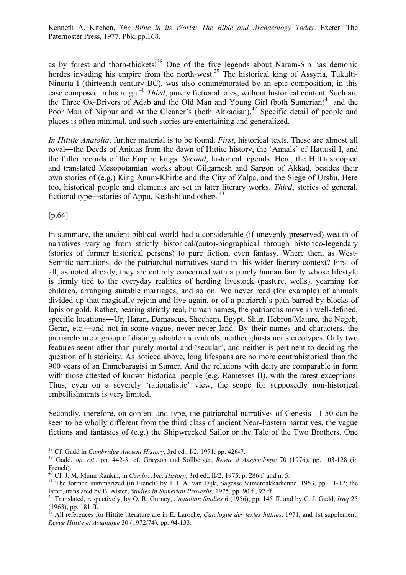as by forest and thorn-thickets!<sup>38</sup> One of the five legends about Naram-Sin has demonic hordes invading his empire from the north-west.<sup>39</sup> The historical king of Assyria, Tukulti-Ninurta I (thirteenth century BC), was also commemorated by an epic composition, in this case composed in his reign.<sup>40</sup> *Third*, purely fictional tales, without historical content. Such are the Three Ox-Drivers of Adab and the Old Man and Young Girl (both Sumerian)<sup>41</sup> and the Poor Man of Nippur and At the Cleaner's (both Akkadian).<sup>42</sup> Specific detail of people and places is often minimal, and such stories are entertaining and generalized.

*In Hittite Anatolia*, further material is to be found. *First*, historical texts. These are almost all royal―the Deeds of Anittas from the dawn of Hittite history, the 'Annals' of Hattusil I, and the fuller records of the Empire kings. *Second*, historical legends. Here, the Hittites copied and translated Mesopotamian works about Gilgamesh and Sargon of Akkad, besides their own stories of (e.g.) King Anum-Khirbe and the City of Zalpa, and the Siege of Urshu. Here too, historical people and elements are set in later literary works. *Third*, stories of general, fictional type—stories of Appu, Keshshi and others.<sup>43</sup>

[p.64]

 $\overline{a}$ 

In summary, the ancient biblical world had a considerable (if unevenly preserved) wealth of narratives varying from strictly historical/(auto)-biographical through historico-legendary (stories of former historical persons) to pure fiction, even fantasy. Where then, as West-Semitic narrations, do the patriarchal narratives stand in this wider literary context? First of all, as noted already, they are entirely concerned with a purely human family whose lifestyle is firmly tied to the everyday realities of herding livestock (pasture, wells), yearning for children, arranging suitable marriages, and so on. We never read (for example) of animals divided up that magically rejoin and live again, or of a patriarch's path barred by blocks of lapis or gold. Rather, bearing strictly real, human names, the patriarchs move in well-defined, specific locations―Ur, Haran, Damascus, Shechem, Egypt, Shur, Hebron/Mature, the Negeb, Gerar, etc.―and not in some vague, never-never land. By their names and characters, the patriarchs are a group of distinguishable individuals, neither ghosts nor stereotypes. Only two features seem other than purely mortal and 'secular', and neither is pertinent to deciding the question of historicity. As noticed above, long lifespans are no more contrahistorical than the 900 years of an Enmebaragisi in Sumer. And the relations with deity are comparable in form with those attested of known historical people (e.g. Ramesses II), with the rarest exceptions. Thus, even on a severely 'rationalistic' view, the scope for supposedly non-historical embellishments is very limited.

Secondly, therefore, on content and type, the patriarchal narratives of Genesis 11-50 can be seen to be wholly different from the third class of ancient Near-Eastern narratives, the vague fictions and fantasies of (e.g.) the Shipwrecked Sailor or the Tale of the Two Brothers. One

<sup>38</sup> Cf. Gadd in *Cambridge Ancient History*, 3rd ed., I/2, 1971, pp. 426-7. 39 Gadd, *op. cit*., pp. 442-3; cf. Grayson and Sollberger, *Revue d Assyriologie* 70 (1976), pp. 103-128 (in French).<br><sup>40</sup> Cf. J. M. Munn-Rankin, in *Cambr. Anc. History*, 3rd ed., II/2, 1975, p. 286 f. and n. 5.

<sup>&</sup>lt;sup>41</sup> The former, summarized (in French) by J. J. A. van Dijk, Sagesse Sumeroakkadienne, 1953, pp. 11-12; the latter, translated by B. Alster, *Studies in Sumerian Proverbs*, 1975, pp. 90 f., 92 ff.

<sup>&</sup>lt;sup>42</sup> Translated, respectively, by O. R. Gurney, *Anatolian Studies* 6 (1956), pp. 145 ff. and by C. J. Gadd, *Iraq* 25 (1963), pp. 181 ff.

<sup>&</sup>lt;sup>43</sup> All references for Hittite literature are in E. Laroche, *Catalogue des textes hittites*, 1971, and 1st supplement, *Revue Hittite et Asianique* 30 (1972/74), pp. 94-133.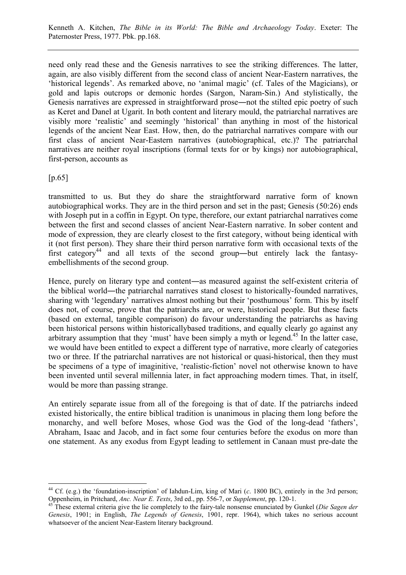need only read these and the Genesis narratives to see the striking differences. The latter, again, are also visibly different from the second class of ancient Near-Eastern narratives, the 'historical legends'. As remarked above, no 'animal magic' (cf. Tales of the Magicians), or gold and lapis outcrops or demonic hordes (Sargon, Naram-Sin.) And stylistically, the Genesis narratives are expressed in straightforward prose―not the stilted epic poetry of such as Keret and Danel at Ugarit. In both content and literary mould, the patriarchal narratives are visibly more 'realistic' and seemingly 'historical' than anything in most of the historical legends of the ancient Near East. How, then, do the patriarchal narratives compare with our first class of ancient Near-Eastern narratives (autobiographical, etc.)? The patriarchal narratives are neither royal inscriptions (formal texts for or by kings) nor autobiographical, first-person, accounts as

 $[p.65]$ 

 $\overline{a}$ 

transmitted to us. But they do share the straightforward narrative form of known autobiographical works. They are in the third person and set in the past; Genesis (50:26) ends with Joseph put in a coffin in Egypt. On type, therefore, our extant patriarchal narratives come between the first and second classes of ancient Near-Eastern narrative. In sober content and mode of expression, they are clearly closest to the first category, without being identical with it (not first person). They share their third person narrative form with occasional texts of the first category<sup>44</sup> and all texts of the second group—but entirely lack the fantasyembellishments of the second group.

Hence, purely on literary type and content―as measured against the self-existent criteria of the biblical world―the patriarchal narratives stand closest to historically-founded narratives, sharing with 'legendary' narratives almost nothing but their 'posthumous' form. This by itself does not, of course, prove that the patriarchs are, or were, historical people. But these facts (based on external, tangible comparison) do favour understanding the patriarchs as having been historical persons within historicallybased traditions, and equally clearly go against any arbitrary assumption that they 'must' have been simply a myth or legend.<sup>45</sup> In the latter case, we would have been entitled to expect a different type of narrative, more clearly of categories two or three. If the patriarchal narratives are not historical or quasi-historical, then they must be specimens of a type of imaginitive, 'realistic-fiction' novel not otherwise known to have been invented until several millennia later, in fact approaching modern times. That, in itself, would be more than passing strange.

An entirely separate issue from all of the foregoing is that of date. If the patriarchs indeed existed historically, the entire biblical tradition is unanimous in placing them long before the monarchy, and well before Moses, whose God was the God of the long-dead 'fathers', Abraham, Isaac and Jacob, and in fact some four centuries before the exodus on more than one statement. As any exodus from Egypt leading to settlement in Canaan must pre-date the

<sup>&</sup>lt;sup>44</sup> Cf. (e.g.) the 'foundation-inscription' of Iahdun-Lim, king of Mari (*c*. 1800 BC), entirely in the 3rd person;<br>Oppenheim, in Pritchard, *Anc. Near E. Texts*, 3rd ed., pp. 556-7, or *Supplement*, pp. 120-1.

 $45$  These external criteria give the lie completely to the fairy-tale nonsense enunciated by Gunkel (Die Sagen der *Genesis*, 1901; in English, *The Legends of Genesis*, 1901, repr. 1964), which takes no serious account whatsoever of the ancient Near-Eastern literary background.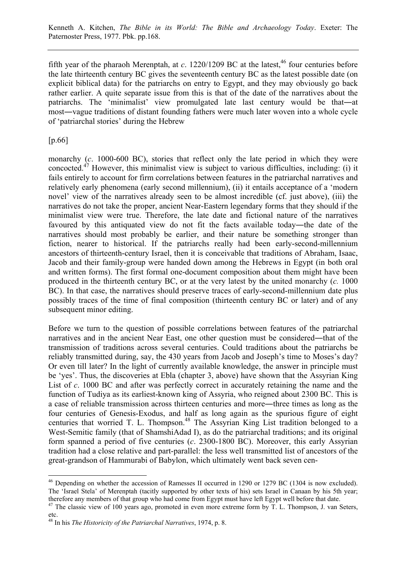fifth year of the pharaoh Merenptah, at  $c$ . 1220/1209 BC at the latest,  $46$  four centuries before the late thirteenth century BC gives the seventeenth century BC as the latest possible date (on explicit biblical data) for the patriarchs on entry to Egypt, and they may obviously go back rather earlier. A quite separate issue from this is that of the date of the narratives about the patriarchs. The 'minimalist' view promulgated late last century would be that―at most―vague traditions of distant founding fathers were much later woven into a whole cycle of 'patriarchal stories' during the Hebrew

#### [p.66]

 $\overline{a}$ 

monarchy (*c*. 1000-600 BC), stories that reflect only the late period in which they were concocted.47 However, this minimalist view is subject to various difficulties, including: (i) it fails entirely to account for firm correlations between features in the patriarchal narratives and relatively early phenomena (early second millennium), (ii) it entails acceptance of a 'modern novel' view of the narratives already seen to be almost incredible (cf. just above), (iii) the narratives do not take the proper, ancient Near-Eastern legendary forms that they should if the minimalist view were true. Therefore, the late date and fictional nature of the narratives favoured by this antiquated view do not fit the facts available today―the date of the narratives should most probably be earlier, and their nature be something stronger than fiction, nearer to historical. If the patriarchs really had been early-second-millennium ancestors of thirteenth-century Israel, then it is conceivable that traditions of Abraham, Isaac, Jacob and their family-group were handed down among the Hebrews in Egypt (in both oral and written forms). The first formal one-document composition about them might have been produced in the thirteenth century BC, or at the very latest by the united monarchy (*c.* 1000 BC). In that case, the narratives should preserve traces of early-second-millennium date plus possibly traces of the time of final composition (thirteenth century BC or later) and of any subsequent minor editing.

Before we turn to the question of possible correlations between features of the patriarchal narratives and in the ancient Near East, one other question must be considered—that of the transmission of traditions across several centuries. Could traditions about the patriarchs be reliably transmitted during, say, the 430 years from Jacob and Joseph's time to Moses's day? Or even till later? In the light of currently available knowledge, the answer in principle must be 'yes'. Thus, the discoveries at Ebla (chapter 3, above) have shown that the Assyrian King List of *c*. 1000 BC and after was perfectly correct in accurately retaining the name and the function of Tudiya as its earliest-known king of Assyria, who reigned about 2300 BC. This is a case of reliable transmission across thirteen centuries and more―three times as long as the four centuries of Genesis-Exodus, and half as long again as the spurious figure of eight centuries that worried T. L. Thompson.<sup>48</sup> The Assyrian King List tradition belonged to a West-Semitic family (that of ShamshiAdad I), as do the patriarchal traditions; and its original form spanned a period of five centuries (*c*. 2300-1800 BC). Moreover, this early Assyrian tradition had a close relative and part-parallel: the less well transmitted list of ancestors of the great-grandson of Hammurabi of Babylon, which ultimately went back seven cen-

<sup>46</sup> Depending on whether the accession of Ramesses II occurred in 1290 or 1279 BC (1304 is now excluded). The 'Israel Stela' of Merenptah (tacitly supported by other texts of his) sets Israel in Canaan by his 5th year; therefore any members of that group who had come from Egypt must have left Egypt well before that date.

 $47$  The classic view of 100 years ago, promoted in even more extreme form by T. L. Thompson, J. van Seters, etc.

<sup>48</sup> In his *The Historicity of the Patriarchal Narratives*, 1974, p. 8.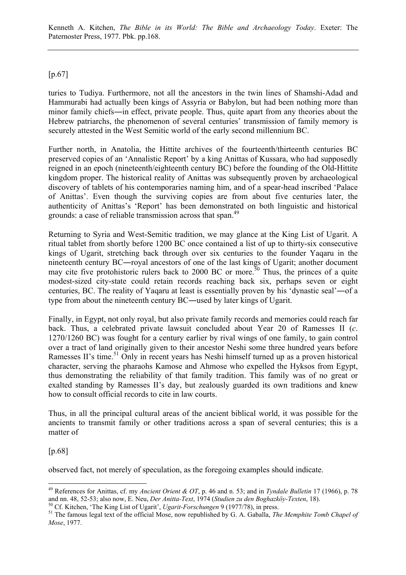## [p.67]

turies to Tudiya. Furthermore, not all the ancestors in the twin lines of Shamshi-Adad and Hammurabi had actually been kings of Assyria or Babylon, but had been nothing more than minor family chiefs―in effect, private people. Thus, quite apart from any theories about the Hebrew patriarchs, the phenomenon of several centuries' transmission of family memory is securely attested in the West Semitic world of the early second millennium BC.

Further north, in Anatolia, the Hittite archives of the fourteenth/thirteenth centuries BC preserved copies of an 'Annalistic Report' by a king Anittas of Kussara, who had supposedly reigned in an epoch (nineteenth/eighteenth century BC) before the founding of the Old-Hittite kingdom proper. The historical reality of Anittas was subsequently proven by archaeological discovery of tablets of his contemporaries naming him, and of a spear-head inscribed 'Palace of Anittas'. Even though the surviving copies are from about five centuries later, the authenticity of Anittas's 'Report' has been demonstrated on both linguistic and historical grounds: a case of reliable transmission across that span.<sup>49</sup>

Returning to Syria and West-Semitic tradition, we may glance at the King List of Ugarit. A ritual tablet from shortly before 1200 BC once contained a list of up to thirty-six consecutive kings of Ugarit, stretching back through over six centuries to the founder Yaqaru in the nineteenth century BC―royal ancestors of one of the last kings of Ugarit; another document may cite five protohistoric rulers back to 2000 BC or more.<sup>50</sup> Thus, the princes of a quite modest-sized city-state could retain records reaching back six, perhaps seven or eight centuries, BC. The reality of Yaqaru at least is essentially proven by his 'dynastic seal'―of a type from about the nineteenth century BC―used by later kings of Ugarit.

Finally, in Egypt, not only royal, but also private family records and memories could reach far back. Thus, a celebrated private lawsuit concluded about Year 20 of Ramesses II (*c*. 1270/1260 BC) was fought for a century earlier by rival wings of one family, to gain control over a tract of land originally given to their ancestor Neshi some three hundred years before Ramesses II's time.<sup>51</sup> Only in recent years has Neshi himself turned up as a proven historical character, serving the pharaohs Kamose and Ahmose who expelled the Hyksos from Egypt, thus demonstrating the reliability of that family tradition. This family was of no great or exalted standing by Ramesses II's day, but zealously guarded its own traditions and knew how to consult official records to cite in law courts.

Thus, in all the principal cultural areas of the ancient biblical world, it was possible for the ancients to transmit family or other traditions across a span of several centuries; this is a matter of

## [p.68]

 $\overline{a}$ 

observed fact, not merely of speculation, as the foregoing examples should indicate.

<sup>&</sup>lt;sup>49</sup> References for Anittas, cf. my *Ancient Orient & OT*, p. 46 and n. 53; and in *Tyndale Bulletin* 17 (1966), p. 78 and nn. 48, 52-53; also now, E. Neu, *Der Anitta-Text*, 1974 (*Studien zu den Boghazköy-Texten*, 18).

<sup>&</sup>lt;sup>50</sup> Cf. Kitchen, 'The King List of Ugarit', *Ugarit-Forschungen* 9 (1977/78), in press.<br><sup>51</sup> The famous legal text of the official Mose, now republished by G. A. Gaballa, *The Memphite Tomb Chapel of Mose*, 1977.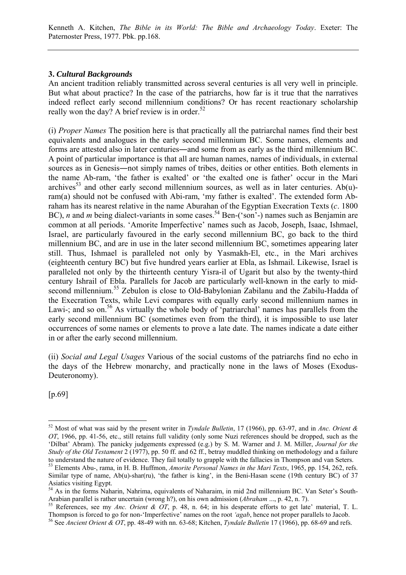#### **3.** *Cultural Backgrounds*

An ancient tradition reliably transmitted across several centuries is all very well in principle. But what about practice? In the case of the patriarchs, how far is it true that the narratives indeed reflect early second millennium conditions? Or has recent reactionary scholarship really won the day? A brief review is in order. $52$ 

(i) *Proper Names* The position here is that practically all the patriarchal names find their best equivalents and analogues in the early second millennium BC. Some names, elements and forms are attested also in later centuries―and some from as early as the third millennium BC. A point of particular importance is that all are human names, names of individuals, in external sources as in Genesis—not simply names of tribes, deities or other entities. Both elements in the name Ab-ram, 'the father is exalted' or 'the exalted one is father' occur in the Mari archives<sup>53</sup> and other early second millennium sources, as well as in later centuries. Ab(u)ram(a) should not be confused with Abi-ram, 'my father is exalted'. The extended form Abraham has its nearest relative in the name Aburahan of the Egyptian Execration Texts (*c*. 1800 BC), *n* and *m* being dialect-variants in some cases.<sup>54</sup> Ben-('son'-) names such as Benjamin are common at all periods. 'Amorite Imperfective' names such as Jacob, Joseph, Isaac, Ishmael, Israel, are particularly favoured in the early second millennium BC, go back to the third millennium BC, and are in use in the later second millennium BC, sometimes appearing later still. Thus, Ishmael is paralleled not only by Yasmakh-El, etc., in the Mari archives (eighteenth century BC) but five hundred years earlier at Ebla, as Ishmail. Likewise, Israel is paralleled not only by the thirteenth century Yisra-il of Ugarit but also by the twenty-third century Ishrail of Ebla. Parallels for Jacob are particularly well-known in the early to midsecond millennium.<sup>55</sup> Zebulon is close to Old-Babylonian Zabilanu and the Zabilu-Hadda of the Execration Texts, while Levi compares with equally early second millennium names in Lawi-; and so on.<sup>56</sup> As virtually the whole body of 'patriarchal' names has parallels from the early second millennium BC (sometimes even from the third), it is impossible to use later occurrences of some names or elements to prove a late date. The names indicate a date either in or after the early second millennium.

(ii) *Social and Legal Usages* Various of the social customs of the patriarchs find no echo in the days of the Hebrew monarchy, and practically none in the laws of Moses (Exodus-Deuteronomy).

[p.69]

<sup>52</sup> Most of what was said by the present writer in *Tyndale Bulletin*, 17 (1966), pp. 63-97, and in *Anc. Orient & OT*, 1966, pp. 41-56, etc., still retains full validity (only some Nuzi references should be dropped, such as the 'Dilbat' Abram). The panicky judgements expressed (e.g.) by S. M. Warner and J. M. Miller, *Journal for the Study of the Old Testament* 2 (1977), pp. 50 ff. and 62 ff., betray muddled thinking on methodology and a failure to understand the nature of evidence. They fail totally to grapple with the fallacies in Thompson and van Seters. 53 Elements Abu-, rama, in H. B. Huffmon, *Amorite Personal Names in the Mari Texts*, 1965, pp. 154, 262, refs.

Similar type of name, Ab(u)-shar(ru), 'the father is king', in the Beni-Hasan scene (19th century BC) of 37 Asiatics visiting Egypt.

<sup>&</sup>lt;sup>54</sup> As in the forms Naharin, Nahrima, equivalents of Naharaim, in mid 2nd millennium BC. Van Seter's South-

Arabian parallel is rather uncertain (wrong h?), on his own admission (*Abraham* ..., p. 42, n. 7).<br><sup>55</sup> References, see my *Anc. Orient & OT*, p. 48, n. 64; in his desperate efforts to get late' material, T. L.<br>Thompson i

<sup>&</sup>lt;sup>56</sup> See *Ancient Orient & OT*, pp. 48-49 with nn. 63-68; Kitchen, *Tyndale Bulletin* 17 (1966), pp. 68-69 and refs.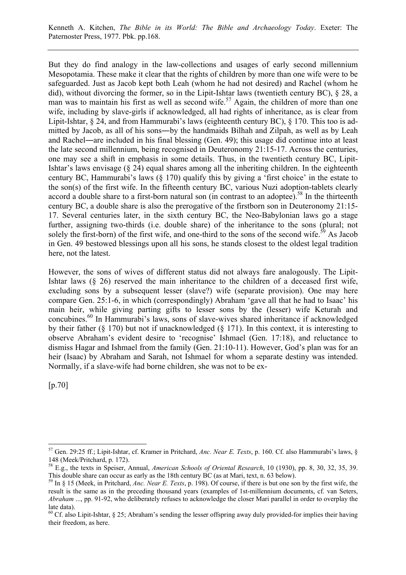But they do find analogy in the law-collections and usages of early second millennium Mesopotamia. These make it clear that the rights of children by more than one wife were to be safeguarded. Just as Jacob kept both Leah (whom he had not desired) and Rachel (whom he did), without divorcing the former, so in the Lipit-Ishtar laws (twentieth century BC), § 28, a man was to maintain his first as well as second wife.<sup>57</sup> Again, the children of more than one wife, including by slave-girls if acknowledged, all had rights of inheritance, as is clear from Lipit-Ishtar, § 24, and from Hammurabi's laws (eighteenth century BC), § 170. This too is admitted by Jacob, as all of his sons―by the handmaids Bilhah and Zilpah, as well as by Leah and Rachel―are included in his final blessing (Gen. 49); this usage did continue into at least the late second millennium, being recognised in Deuteronomy 21:15-17. Across the centuries, one may see a shift in emphasis in some details. Thus, in the twentieth century BC, Lipit-Ishtar's laws envisage (§ 24) equal shares among all the inheriting children. In the eighteenth century BC, Hammurabi's laws (§ 170) qualify this by giving a 'first choice' in the estate to the son(s) of the first wife. In the fifteenth century BC, various Nuzi adoption-tablets clearly accord a double share to a first-born natural son (in contrast to an adoptee).<sup>58</sup> In the thirteenth century BC, a double share is also the prerogative of the firstborn son in Deuteronomy 21:15- 17. Several centuries later, in the sixth century BC, the Neo-Babylonian laws go a stage further, assigning two-thirds (i.e. double share) of the inheritance to the sons (plural; not solely the first-born) of the first wife, and one-third to the sons of the second wife.<sup>59</sup> As Jacob in Gen. 49 bestowed blessings upon all his sons, he stands closest to the oldest legal tradition here, not the latest.

However, the sons of wives of different status did not always fare analogously. The Lipit-Ishtar laws (§ 26) reserved the main inheritance to the children of a deceased first wife, excluding sons by a subsequent lesser (slave?) wife (separate provision). One may here compare Gen. 25:1-6, in which (correspondingly) Abraham 'gave all that he had to Isaac' his main heir, while giving parting gifts to lesser sons by the (lesser) wife Keturah and concubines.60 In Hammurabi's laws, sons of slave-wives shared inheritance if acknowledged by their father (§ 170) but not if unacknowledged (§ 171). In this context, it is interesting to observe Abraham's evident desire to 'recognise' Ishmael (Gen. 17:18), and reluctance to dismiss Hagar and Ishmael from the family (Gen. 21:10-11). However, God's plan was for an heir (Isaac) by Abraham and Sarah, not Ishmael for whom a separate destiny was intended. Normally, if a slave-wife had borne children, she was not to be ex-

[p.70]

<sup>57</sup> Gen. 29:25 ff.; Lipit-Ishtar, cf. Kramer in Pritchard, *Anc. Near E. Texts*, p. 160. Cf. also Hammurabi's laws, § 148 (Meek/Pritchard, p. 172).

<sup>58</sup> E.g., the texts in Speiser, Annual, *American Schools of Oriental Research*, 10 (1930), pp. 8, 30, 32, 35, 39.

This double share can occur as early as the 18th century BC (as at Mari, text, n. 63 below). 59 In § 15 (Meek, in Pritchard, *Anc. Near E. Texts*, p. 198). Of course, if there is but one son by the first wife, the result is the same as in the preceding thousand years (examples of 1st-millennium documents, cf. van Seters, *Abraham* ..., pp. 91-92, who deliberately refuses to acknowledge the closer Mari parallel in order to overplay the late data).

 $60$  Cf. also Lipit-Ishtar, § 25; Abraham's sending the lesser offspring away duly provided-for implies their having their freedom, as here.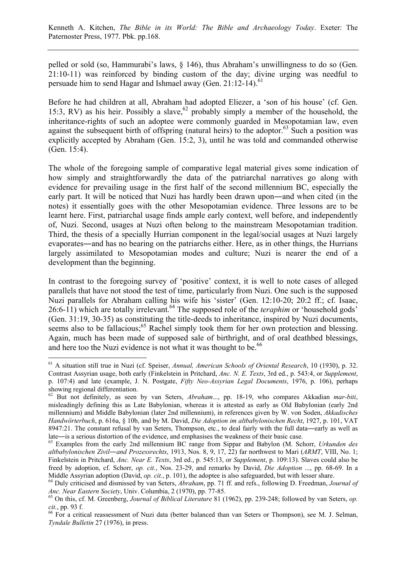pelled or sold (so, Hammurabi's laws, § 146), thus Abraham's unwillingness to do so (Gen. 21:10-11) was reinforced by binding custom of the day; divine urging was needful to persuade him to send Hagar and Ishmael away (Gen.  $21:12-14$ ).<sup>61</sup>

Before he had children at all, Abraham had adopted Eliezer, a 'son of his house' (cf. Gen. 15:3, RV) as his heir. Possibly a slave,  $62$  probably simply a member of the household, the inheritance-rights of such an adoptee were commonly guarded in Mesopotamian law, even against the subsequent birth of offspring (natural heirs) to the adoptor.<sup>63</sup> Such a position was explicitly accepted by Abraham (Gen. 15:2, 3), until he was told and commanded otherwise (Gen. 15:4).

The whole of the foregoing sample of comparative legal material gives some indication of how simply and straightforwardly the data of the patriarchal narratives go along with evidence for prevailing usage in the first half of the second millennium BC, especially the early part. It will be noticed that Nuzi has hardly been drawn upon―and when cited (in the notes) it essentially goes with the other Mesopotamian evidence. Three lessons are to be learnt here. First, patriarchal usage finds ample early context, well before, and independently of, Nuzi. Second, usages at Nuzi often belong to the mainstream Mesopotamian tradition. Third, the thesis of a specially Hurrian component in the legal/social usages at Nuzi largely evaporates―and has no bearing on the patriarchs either. Here, as in other things, the Hurrians largely assimilated to Mesopotamian modes and culture; Nuzi is nearer the end of a development than the beginning.

In contrast to the foregoing survey of 'positive' context, it is well to note cases of alleged parallels that have not stood the test of time, particularly from Nuzi. One such is the supposed Nuzi parallels for Abraham calling his wife his 'sister' (Gen. 12:10-20; 20:2 ff.; cf. Isaac, 26:6-11) which are totally irrelevant.<sup>64</sup> The supposed role of the *teraphim* or 'household gods' (Gen. 31:19, 30-35) as constituting the title-deeds to inheritance, inspired by Nuzi documents, seems also to be fallacious;<sup>65</sup> Rachel simply took them for her own protection and blessing. Again, much has been made of supposed sale of birthright, and of oral deathbed blessings, and here too the Nuzi evidence is not what it was thought to be.<sup>66</sup>

 $\overline{a}$ 61 A situation still true in Nuzi (cf. Speiser, *Annual, American Schools of Oriental Research*, 10 (1930), p. 32. Contrast Assyrian usage, both early (Finkelstein in Pritchard, *Anc. N. E. Texts*, 3rd ed., p. 543:4, or *Supplement*, p. 107:4) and late (example, J. N. Postgate, *Fifty Neo-Assyrian Legal Documents*, 1976, p. 106), perhaps showing regional differentiation.

<sup>62</sup> But not definitely, as seen by van Seters, *Abraham*..., pp. 18-19, who compares Akkadian *mar-biti*, misleadingly defining this as Late Babylonian, whereas it is attested as early as Old Babylonian (early 2nd millennium) and Middle Babylonian (later 2nd millennium), in references given by W. von Soden, *Akkadisches Handwörterbuch*, p. 616a, § 10b, and by M. David, *Die Adoption im altbabylonischen Recht*, 1927, p. 101, VAT 8947:21. The constant refusal by van Seters, Thompson, etc., to deal fairly with the full data—early as well as late―is a serious distortion of the evidence, and emphasises the weakness of their basic case. 63 Examples from the early 2nd millennium BC range from Sippar and Babylon (M. Schorr, *Urkunden des* 

*altbabylonischen Zivil―and Prozessrechts*, 1913, Nos. 8, 9, 17, 22) far northwest to Mari (*ARMT*, VIII, No. 1; Finkelstein in Pritchard, *Anc. Near E. Texts*, 3rd ed., p. 545:13, or *Supplement*, p. 109:13). Slaves could also be freed by adoption, cf. Schorr, *op. cit.*, Nos. 23-29, and remarks by David, *Die Adoption* ..., pp. 68-69. In a Middle Assyrian adoption (David, op. cit., p. 101), the adoptee is also safeguarded, but with lesser share.<br><sup>64</sup> Duly criticised and dismissed by van Seters, *Abraham*, pp. 71 ff. and refs., following D. Freedman, Journal

*Anc. Near Eastern Society*, Univ. Columbia, 2 (1970), pp. 77-85.<br><sup>65</sup> On this, cf. M. Greenberg, *Journal of Biblical Literature* 81 (1962), pp. 239-248; followed by van Seters, *op*.

*cit.*, pp. 93 f.<br><sup>66</sup> For a critical reassessment of Nuzi data (better balanced than van Seters or Thompson), see M. J. Selman,

*Tyndale Bulletin* 27 (1976), in press.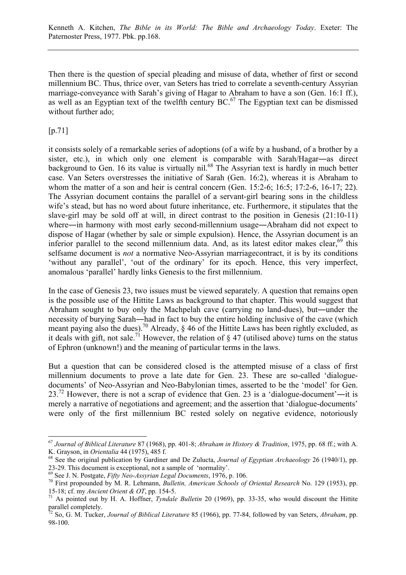Then there is the question of special pleading and misuse of data, whether of first or second millennium BC. Thus, thrice over, van Seters has tried to correlate a seventh-century Assyrian marriage-conveyance with Sarah's giving of Hagar to Abraham to have a son (Gen. 16:1 ff.), as well as an Egyptian text of the twelfth century  $BC<sup>67</sup>$ . The Egyptian text can be dismissed without further ado;

[p.71]

 $\overline{a}$ 

it consists solely of a remarkable series of adoptions (of a wife by a husband, of a brother by a sister, etc.), in which only one element is comparable with Sarah/Hagar―as direct background to Gen. 16 its value is virtually nil.<sup>68</sup> The Assyrian text is hardly in much better case. Van Seters overstresses the initiative of Sarah (Gen. 16:2), whereas it is Abraham to whom the matter of a son and heir is central concern (Gen. 15:2-6; 16:5; 17:2-6, 16-17; 22). The Assyrian document contains the parallel of a servant-girl bearing sons in the childless wife's stead, but has no word about future inheritance, etc. Furthermore, it stipulates that the slave-girl may be sold off at will, in direct contrast to the position in Genesis (21:10-11) where—in harmony with most early second-millennium usage—Abraham did not expect to dispose of Hagar (whether by sale or simple expulsion). Hence, the Assyrian document is an inferior parallel to the second millennium data. And, as its latest editor makes clear,  $69$  this selfsame document is *not* a normative Neo-Assyrian marriagecontract, it is by its conditions 'without any parallel', 'out of the ordinary' for its epoch. Hence, this very imperfect, anomalous 'parallel' hardly links Genesis to the first millennium.

In the case of Genesis 23, two issues must be viewed separately. A question that remains open is the possible use of the Hittite Laws as background to that chapter. This would suggest that Abraham sought to buy only the Machpelah cave (carrying no land-dues), but―under the necessity of burying Sarah―had in fact to buy the entire holding inclusive of the cave (which meant paying also the dues).<sup>70</sup> Already, § 46 of the Hittite Laws has been rightly excluded, as it deals with gift, not sale.<sup>71</sup> However, the relation of  $\S$  47 (utilised above) turns on the status of Ephron (unknown!) and the meaning of particular terms in the laws.

But a question that can be considered closed is the attempted misuse of a class of first millennium documents to prove a late date for Gen. 23. These are so-called 'dialoguedocuments' of Neo-Assyrian and Neo-Babylonian times, asserted to be the 'model' for Gen.  $23.^{72}$  However, there is not a scrap of evidence that Gen. 23 is a 'dialogue-document'—it is merely a narrative of negotiations and agreement; and the assertion that 'dialogue-documents' were only of the first millennium BC rested solely on negative evidence, notoriously

<sup>67</sup> *Journal of Biblical Literature* 87 (1968), pp. 401-8; *Abraham in History & Tradition*, 1975, pp. 68 ff.; with A.

<sup>&</sup>lt;sup>68</sup> See the original publication by Gardiner and De Zulucta, *Journal of Egyptian Archaeology* 26 (1940/1), pp. 23-29. This document is exceptional, not a sample of 'normality'.<br><sup>69</sup> See J. N. Postgate, *Fifty Neo-Assyrian Legal Documents*, 1976, p. 106.

<sup>&</sup>lt;sup>70</sup> First propounded by M. R. Lehmann, *Bulletin, American Schools of Oriental Research* No. 129 (1953), pp. 15-18; cf. my *Ancient Orient & OT*, pp. 154-5.

<sup>&</sup>lt;sup>71</sup> As pointed out by H. A. Hoffner, *Tyndale Bulletin* 20 (1969), pp. 33-35, who would discount the Hittite parallel completely.

<sup>72</sup> So, G. M. Tucker, *Journal of Biblical Literature* 85 (1966), pp. 77-84, followed by van Seters, *Abraham*, pp. 98-100.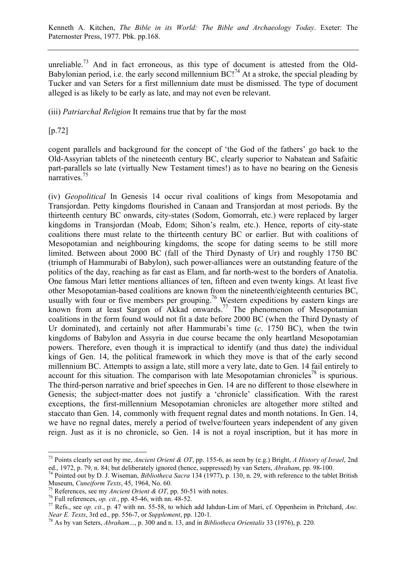unreliable.<sup>73</sup> And in fact erroneous, as this type of document is attested from the Old-Babylonian period, i.e. the early second millennium  $BC!^{74}$  At a stroke, the special pleading by Tucker and van Seters for a first millennium date must be dismissed. The type of document alleged is as likely to be early as late, and may not even be relevant.

(iii) *Patriarchal Religion* It remains true that by far the most

[p.72]

 $\overline{a}$ 

cogent parallels and background for the concept of 'the God of the fathers' go back to the Old-Assyrian tablets of the nineteenth century BC, clearly superior to Nabatean and Safaitic part-parallels so late (virtually New Testament times!) as to have no bearing on the Genesis narratives<sup>75</sup>

(iv) *Geopolitical* In Genesis 14 occur rival coalitions of kings from Mesopotamia and Transjordan. Petty kingdoms flourished in Canaan and Transjordan at most periods. By the thirteenth century BC onwards, city-states (Sodom, Gomorrah, etc.) were replaced by larger kingdoms in Transjordan (Moab, Edom; Sihon's realm, etc.). Hence, reports of city-state coalitions there must relate to the thirteenth century BC or earlier. But with coalitions of Mesopotamian and neighbouring kingdoms, the scope for dating seems to be still more limited. Between about 2000 BC (fall of the Third Dynasty of Ur) and roughly 1750 BC (triumph of Hammurabi of Babylon), such power-alliances were an outstanding feature of the politics of the day, reaching as far east as Elam, and far north-west to the borders of Anatolia. One famous Mari letter mentions alliances of ten, fifteen and even twenty kings. At least five other Mesopotamian-based coalitions are known from the nineteenth/eighteenth centuries BC, usually with four or five members per grouping.<sup>76</sup> Western expeditions by eastern kings are known from at least Sargon of Akkad onwards.<sup>77</sup> The phenomenon of Mesopotamian coalitions in the form found would not fit a date before 2000 BC (when the Third Dynasty of Ur dominated), and certainly not after Hammurabi's time (*c*. 1750 BC), when the twin kingdoms of Babylon and Assyria in due course became the only heartland Mesopotamian powers. Therefore, even though it is impractical to identify (and thus date) the individual kings of Gen. 14, the political framework in which they move is that of the early second millennium BC. Attempts to assign a late, still more a very late, date to Gen. 14 fail entirely to account for this situation. The comparison with late Mesopotamian chronicles<sup>78</sup> is spurious. The third-person narrative and brief speeches in Gen. 14 are no different to those elsewhere in Genesis; the subject-matter does not justify a 'chronicle' classification. With the rarest exceptions, the first-millennium Mesopotamian chronicles are altogether more stilted and staccato than Gen. 14, commonly with frequent regnal dates and month notations. In Gen. 14, we have no regnal dates, merely a period of twelve/fourteen years independent of any given reign. Just as it is no chronicle, so Gen. 14 is not a royal inscription, but it has more in

<sup>73</sup> Points clearly set out by me, *Ancient Orient & OT*, pp. 155-6, as seen by (e.g.) Bright, *A History of Israel*, 2nd

<sup>&</sup>lt;sup>74</sup> Pointed out by D. J. Wiseman, *Bibliotheca Sacra* 134 (1977), p. 130, n. 29, with reference to the tablet British

Museum, *Cuneiform Texts*, 45, 1964, No. 60.<br><sup>75</sup> References, see my *Ancient Orient & OT*, pp. 50-51 with notes.<br><sup>76</sup> Full references, *op. cit.*, pp. 45-46, with nn. 48-52.<br><sup>77</sup> Refs., see *op. cit.*, p. 47 with nn. 55-

<sup>&</sup>lt;sup>78</sup> As by van Seters, *Abraham...*, p. 300 and n. 13, and in *Bibliotheca Orientalis* 33 (1976), p. 220.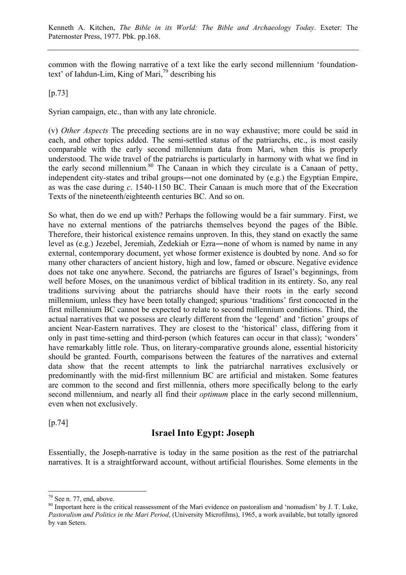common with the flowing narrative of a text like the early second millennium 'foundationtext' of Iahdun-Lim, King of Mari, $^{79}$  describing his

[p.73]

Syrian campaign, etc., than with any late chronicle.

(v) *Other Aspects* The preceding sections are in no way exhaustive; more could be said in each, and other topics added. The semi-settled status of the patriarchs, etc., is most easily comparable with the early second millennium data from Mari, when this is properly understood. The wide travel of the patriarchs is particularly in harmony with what we find in the early second millennium.<sup>80</sup> The Canaan in which they circulate is a Canaan of petty, independent city-states and tribal groups―not one dominated by (e.g.) the Egyptian Empire, as was the case during *c*. 1540-1150 BC. Their Canaan is much more that of the Execration Texts of the nineteenth/eighteenth centuries BC. And so on.

So what, then do we end up with? Perhaps the following would be a fair summary. First, we have no external mentions of the patriarchs themselves beyond the pages of the Bible. Therefore, their historical existence remains unproven. In this, they stand on exactly the same level as (e.g.) Jezebel, Jeremiah, Zedekiah or Ezra―none of whom is named by name in any external, contemporary document, yet whose former existence is doubted by none. And so for many other characters of ancient history, high and low, famed or obscure. Negative evidence does not take one anywhere. Second, the patriarchs are figures of Israel's beginnings, from well before Moses, on the unanimous verdict of biblical tradition in its entirety. So, any real traditions surviving about the patriarchs should have their roots in the early second millennium, unless they have been totally changed; spurious 'traditions' first concocted in the first millennium BC cannot be expected to relate to second millennium conditions. Third, the actual narratives that we possess are clearly different from the 'legend' and 'fiction' groups of ancient Near-Eastern narratives. They are closest to the 'historical' class, differing from it only in past time-setting and third-person (which features can occur in that class); 'wonders' have remarkably little role. Thus, on literary-comparative grounds alone, essential historicity should be granted. Fourth, comparisons between the features of the narratives and external data show that the recent attempts to link the patriarchal narratives exclusively or predominantly with the mid-first millennium BC are artificial and mistaken. Some features are common to the second and first millennia, others more specifically belong to the early second millennium, and nearly all find their *optimum* place in the early second millennium, even when not exclusively.

[p.74]

 $\overline{a}$ 

# **Israel Into Egypt: Joseph**

Essentially, the Joseph-narrative is today in the same position as the rest of the patriarchal narratives. It is a straightforward account, without artificial flourishes. Some elements in the

 $79$  See n. 77, end, above.

<sup>&</sup>lt;sup>80</sup> Important here is the critical reassessment of the Mari evidence on pastoralism and 'nomadism' by J. T. Luke, *Pastoralism and Politics in the Mari Period*, (University Microfilms), 1965, a work available, but totally ignored by van Seters.